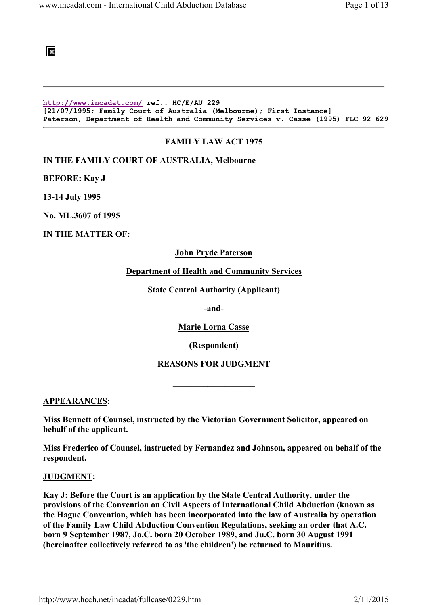阪

#### http://www.incadat.com/ ref.: HC/E/AU 229 [21/07/1995; Family Court of Australia (Melbourne); First Instance] Paterson, Department of Health and Community Services v. Casse (1995) FLC 92-629

### FAMILY LAW ACT 1975

### IN THE FAMILY COURT OF AUSTRALIA, Melbourne

BEFORE: Kay J

13-14 July 1995

No. ML.3607 of 1995

IN THE MATTER OF:

#### John Pryde Paterson

#### Department of Health and Community Services

State Central Authority (Applicant)

-and-

### Marie Lorna Casse

(Respondent)

### REASONS FOR JUDGMENT

 $\_$ 

APPEARANCES:

Miss Bennett of Counsel, instructed by the Victorian Government Solicitor, appeared on behalf of the applicant.

Miss Frederico of Counsel, instructed by Fernandez and Johnson, appeared on behalf of the respondent.

#### JUDGMENT:

Kay J: Before the Court is an application by the State Central Authority, under the provisions of the Convention on Civil Aspects of International Child Abduction (known as the Hague Convention, which has been incorporated into the law of Australia by operation of the Family Law Child Abduction Convention Regulations, seeking an order that A.C. born 9 September 1987, Jo.C. born 20 October 1989, and Ju.C. born 30 August 1991 (hereinafter collectively referred to as 'the children') be returned to Mauritius.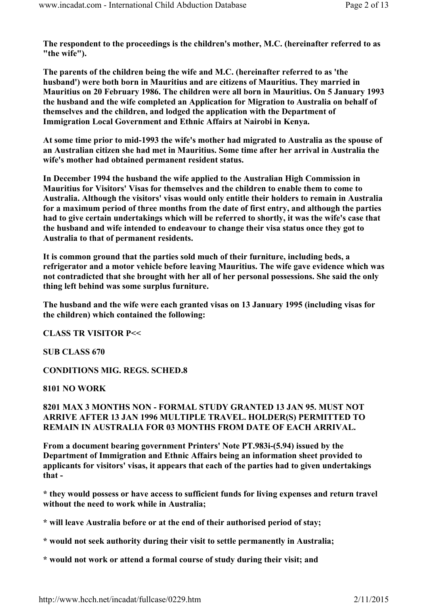The respondent to the proceedings is the children's mother, M.C. (hereinafter referred to as "the wife").

The parents of the children being the wife and M.C. (hereinafter referred to as 'the husband') were both born in Mauritius and are citizens of Mauritius. They married in Mauritius on 20 February 1986. The children were all born in Mauritius. On 5 January 1993 the husband and the wife completed an Application for Migration to Australia on behalf of themselves and the children, and lodged the application with the Department of Immigration Local Government and Ethnic Affairs at Nairobi in Kenya.

At some time prior to mid-1993 the wife's mother had migrated to Australia as the spouse of an Australian citizen she had met in Mauritius. Some time after her arrival in Australia the wife's mother had obtained permanent resident status.

In December 1994 the husband the wife applied to the Australian High Commission in Mauritius for Visitors' Visas for themselves and the children to enable them to come to Australia. Although the visitors' visas would only entitle their holders to remain in Australia for a maximum period of three months from the date of first entry, and although the parties had to give certain undertakings which will be referred to shortly, it was the wife's case that the husband and wife intended to endeavour to change their visa status once they got to Australia to that of permanent residents.

It is common ground that the parties sold much of their furniture, including beds, a refrigerator and a motor vehicle before leaving Mauritius. The wife gave evidence which was not contradicted that she brought with her all of her personal possessions. She said the only thing left behind was some surplus furniture.

The husband and the wife were each granted visas on 13 January 1995 (including visas for the children) which contained the following:

CLASS TR VISITOR P<<

SUB CLASS 670

CONDITIONS MIG. REGS. SCHED.8

8101 NO WORK

### 8201 MAX 3 MONTHS NON - FORMAL STUDY GRANTED 13 JAN 95. MUST NOT ARRIVE AFTER 13 JAN 1996 MULTIPLE TRAVEL. HOLDER(S) PERMITTED TO REMAIN IN AUSTRALIA FOR 03 MONTHS FROM DATE OF EACH ARRIVAL.

From a document bearing government Printers' Note PT.983i-(5.94) issued by the Department of Immigration and Ethnic Affairs being an information sheet provided to applicants for visitors' visas, it appears that each of the parties had to given undertakings that -

\* they would possess or have access to sufficient funds for living expenses and return travel without the need to work while in Australia;

\* will leave Australia before or at the end of their authorised period of stay;

- \* would not seek authority during their visit to settle permanently in Australia;
- \* would not work or attend a formal course of study during their visit; and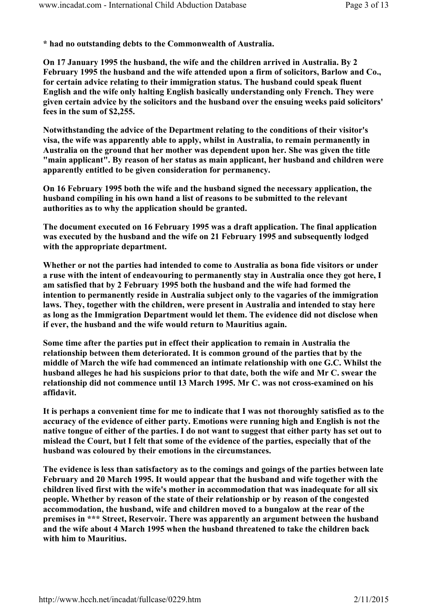\* had no outstanding debts to the Commonwealth of Australia.

On 17 January 1995 the husband, the wife and the children arrived in Australia. By 2 February 1995 the husband and the wife attended upon a firm of solicitors, Barlow and Co., for certain advice relating to their immigration status. The husband could speak fluent English and the wife only halting English basically understanding only French. They were given certain advice by the solicitors and the husband over the ensuing weeks paid solicitors' fees in the sum of \$2,255.

Notwithstanding the advice of the Department relating to the conditions of their visitor's visa, the wife was apparently able to apply, whilst in Australia, to remain permanently in Australia on the ground that her mother was dependent upon her. She was given the title "main applicant". By reason of her status as main applicant, her husband and children were apparently entitled to be given consideration for permanency.

On 16 February 1995 both the wife and the husband signed the necessary application, the husband compiling in his own hand a list of reasons to be submitted to the relevant authorities as to why the application should be granted.

The document executed on 16 February 1995 was a draft application. The final application was executed by the husband and the wife on 21 February 1995 and subsequently lodged with the appropriate department.

Whether or not the parties had intended to come to Australia as bona fide visitors or under a ruse with the intent of endeavouring to permanently stay in Australia once they got here, I am satisfied that by 2 February 1995 both the husband and the wife had formed the intention to permanently reside in Australia subject only to the vagaries of the immigration laws. They, together with the children, were present in Australia and intended to stay here as long as the Immigration Department would let them. The evidence did not disclose when if ever, the husband and the wife would return to Mauritius again.

Some time after the parties put in effect their application to remain in Australia the relationship between them deteriorated. It is common ground of the parties that by the middle of March the wife had commenced an intimate relationship with one G.C. Whilst the husband alleges he had his suspicions prior to that date, both the wife and Mr C. swear the relationship did not commence until 13 March 1995. Mr C. was not cross-examined on his affidavit.

It is perhaps a convenient time for me to indicate that I was not thoroughly satisfied as to the accuracy of the evidence of either party. Emotions were running high and English is not the native tongue of either of the parties. I do not want to suggest that either party has set out to mislead the Court, but I felt that some of the evidence of the parties, especially that of the husband was coloured by their emotions in the circumstances.

The evidence is less than satisfactory as to the comings and goings of the parties between late February and 20 March 1995. It would appear that the husband and wife together with the children lived first with the wife's mother in accommodation that was inadequate for all six people. Whether by reason of the state of their relationship or by reason of the congested accommodation, the husband, wife and children moved to a bungalow at the rear of the premises in \*\*\* Street, Reservoir. There was apparently an argument between the husband and the wife about 4 March 1995 when the husband threatened to take the children back with him to Mauritius.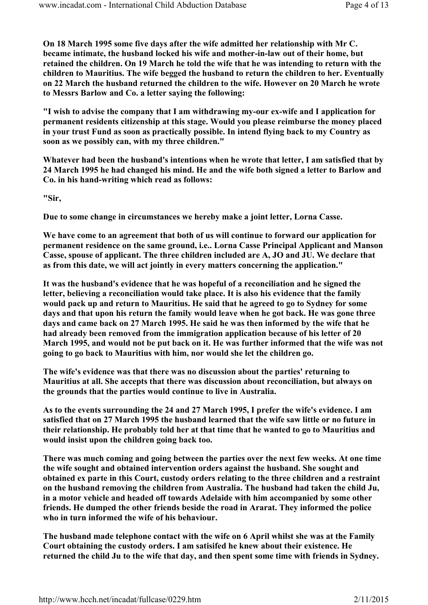On 18 March 1995 some five days after the wife admitted her relationship with Mr C. became intimate, the husband locked his wife and mother-in-law out of their home, but retained the children. On 19 March he told the wife that he was intending to return with the children to Mauritius. The wife begged the husband to return the children to her. Eventually on 22 March the husband returned the children to the wife. However on 20 March he wrote to Messrs Barlow and Co. a letter saying the following:

"I wish to advise the company that I am withdrawing my-our ex-wife and I application for permanent residents citizenship at this stage. Would you please reimburse the money placed in your trust Fund as soon as practically possible. In intend flying back to my Country as soon as we possibly can, with my three children."

Whatever had been the husband's intentions when he wrote that letter, I am satisfied that by 24 March 1995 he had changed his mind. He and the wife both signed a letter to Barlow and Co. in his hand-writing which read as follows:

"Sir,

Due to some change in circumstances we hereby make a joint letter, Lorna Casse.

We have come to an agreement that both of us will continue to forward our application for permanent residence on the same ground, i.e.. Lorna Casse Principal Applicant and Manson Casse, spouse of applicant. The three children included are A, JO and JU. We declare that as from this date, we will act jointly in every matters concerning the application."

It was the husband's evidence that he was hopeful of a reconciliation and he signed the letter, believing a reconciliation would take place. It is also his evidence that the family would pack up and return to Mauritius. He said that he agreed to go to Sydney for some days and that upon his return the family would leave when he got back. He was gone three days and came back on 27 March 1995. He said he was then informed by the wife that he had already been removed from the immigration application because of his letter of 20 March 1995, and would not be put back on it. He was further informed that the wife was not going to go back to Mauritius with him, nor would she let the children go.

The wife's evidence was that there was no discussion about the parties' returning to Mauritius at all. She accepts that there was discussion about reconciliation, but always on the grounds that the parties would continue to live in Australia.

As to the events surrounding the 24 and 27 March 1995, I prefer the wife's evidence. I am satisfied that on 27 March 1995 the husband learned that the wife saw little or no future in their relationship. He probably told her at that time that he wanted to go to Mauritius and would insist upon the children going back too.

There was much coming and going between the parties over the next few weeks. At one time the wife sought and obtained intervention orders against the husband. She sought and obtained ex parte in this Court, custody orders relating to the three children and a restraint on the husband removing the children from Australia. The husband had taken the child Ju, in a motor vehicle and headed off towards Adelaide with him accompanied by some other friends. He dumped the other friends beside the road in Ararat. They informed the police who in turn informed the wife of his behaviour.

The husband made telephone contact with the wife on 6 April whilst she was at the Family Court obtaining the custody orders. I am satisifed he knew about their existence. He returned the child Ju to the wife that day, and then spent some time with friends in Sydney.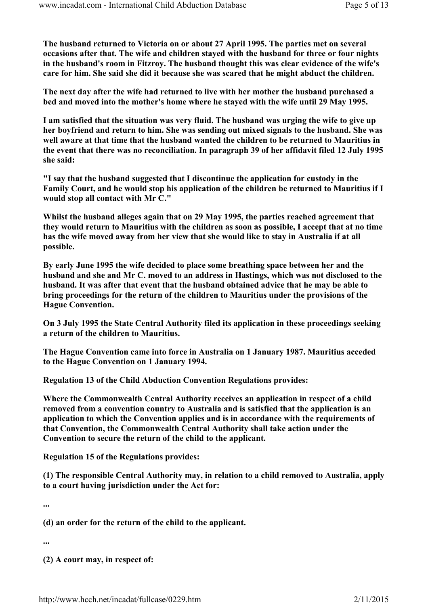The husband returned to Victoria on or about 27 April 1995. The parties met on several occasions after that. The wife and children stayed with the husband for three or four nights in the husband's room in Fitzroy. The husband thought this was clear evidence of the wife's care for him. She said she did it because she was scared that he might abduct the children.

The next day after the wife had returned to live with her mother the husband purchased a bed and moved into the mother's home where he stayed with the wife until 29 May 1995.

I am satisfied that the situation was very fluid. The husband was urging the wife to give up her boyfriend and return to him. She was sending out mixed signals to the husband. She was well aware at that time that the husband wanted the children to be returned to Mauritius in the event that there was no reconciliation. In paragraph 39 of her affidavit filed 12 July 1995 she said:

"I say that the husband suggested that I discontinue the application for custody in the Family Court, and he would stop his application of the children be returned to Mauritius if I would stop all contact with Mr C."

Whilst the husband alleges again that on 29 May 1995, the parties reached agreement that they would return to Mauritius with the children as soon as possible, I accept that at no time has the wife moved away from her view that she would like to stay in Australia if at all possible.

By early June 1995 the wife decided to place some breathing space between her and the husband and she and Mr C. moved to an address in Hastings, which was not disclosed to the husband. It was after that event that the husband obtained advice that he may be able to bring proceedings for the return of the children to Mauritius under the provisions of the Hague Convention.

On 3 July 1995 the State Central Authority filed its application in these proceedings seeking a return of the children to Mauritius.

The Hague Convention came into force in Australia on 1 January 1987. Mauritius acceded to the Hague Convention on 1 January 1994.

Regulation 13 of the Child Abduction Convention Regulations provides:

Where the Commonwealth Central Authority receives an application in respect of a child removed from a convention country to Australia and is satisfied that the application is an application to which the Convention applies and is in accordance with the requirements of that Convention, the Commonwealth Central Authority shall take action under the Convention to secure the return of the child to the applicant.

Regulation 15 of the Regulations provides:

(1) The responsible Central Authority may, in relation to a child removed to Australia, apply to a court having jurisdiction under the Act for:

...

(d) an order for the return of the child to the applicant.

...

(2) A court may, in respect of: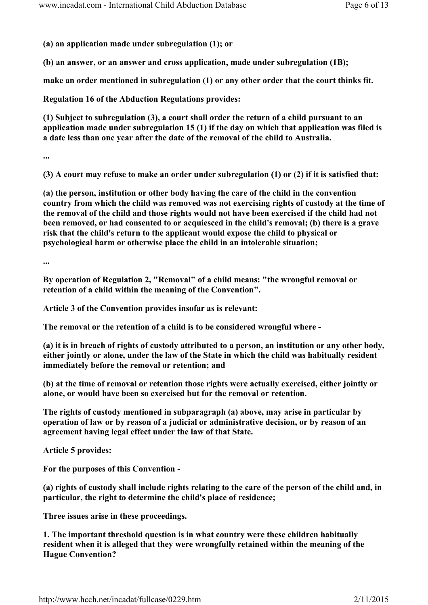(a) an application made under subregulation (1); or

(b) an answer, or an answer and cross application, made under subregulation (1B);

make an order mentioned in subregulation (1) or any other order that the court thinks fit.

Regulation 16 of the Abduction Regulations provides:

(1) Subject to subregulation (3), a court shall order the return of a child pursuant to an application made under subregulation 15 (1) if the day on which that application was filed is a date less than one year after the date of the removal of the child to Australia.

...

(3) A court may refuse to make an order under subregulation (1) or (2) if it is satisfied that:

(a) the person, institution or other body having the care of the child in the convention country from which the child was removed was not exercising rights of custody at the time of the removal of the child and those rights would not have been exercised if the child had not been removed, or had consented to or acquiesced in the child's removal; (b) there is a grave risk that the child's return to the applicant would expose the child to physical or psychological harm or otherwise place the child in an intolerable situation;

...

By operation of Regulation 2, "Removal" of a child means: "the wrongful removal or retention of a child within the meaning of the Convention".

Article 3 of the Convention provides insofar as is relevant:

The removal or the retention of a child is to be considered wrongful where -

(a) it is in breach of rights of custody attributed to a person, an institution or any other body, either jointly or alone, under the law of the State in which the child was habitually resident immediately before the removal or retention; and

(b) at the time of removal or retention those rights were actually exercised, either jointly or alone, or would have been so exercised but for the removal or retention.

The rights of custody mentioned in subparagraph (a) above, may arise in particular by operation of law or by reason of a judicial or administrative decision, or by reason of an agreement having legal effect under the law of that State.

Article 5 provides:

For the purposes of this Convention -

(a) rights of custody shall include rights relating to the care of the person of the child and, in particular, the right to determine the child's place of residence;

Three issues arise in these proceedings.

1. The important threshold question is in what country were these children habitually resident when it is alleged that they were wrongfully retained within the meaning of the Hague Convention?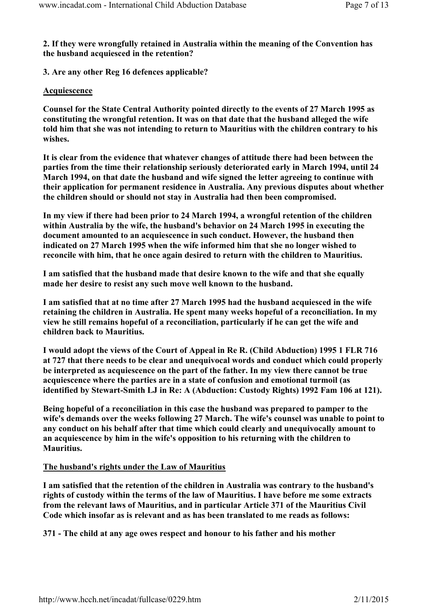# 2. If they were wrongfully retained in Australia within the meaning of the Convention has the husband acquiesced in the retention?

3. Are any other Reg 16 defences applicable?

# Acquiescence

Counsel for the State Central Authority pointed directly to the events of 27 March 1995 as constituting the wrongful retention. It was on that date that the husband alleged the wife told him that she was not intending to return to Mauritius with the children contrary to his wishes.

It is clear from the evidence that whatever changes of attitude there had been between the parties from the time their relationship seriously deteriorated early in March 1994, until 24 March 1994, on that date the husband and wife signed the letter agreeing to continue with their application for permanent residence in Australia. Any previous disputes about whether the children should or should not stay in Australia had then been compromised.

In my view if there had been prior to 24 March 1994, a wrongful retention of the children within Australia by the wife, the husband's behavior on 24 March 1995 in executing the document amounted to an acquiescence in such conduct. However, the husband then indicated on 27 March 1995 when the wife informed him that she no longer wished to reconcile with him, that he once again desired to return with the children to Mauritius.

I am satisfied that the husband made that desire known to the wife and that she equally made her desire to resist any such move well known to the husband.

I am satisfied that at no time after 27 March 1995 had the husband acquiesced in the wife retaining the children in Australia. He spent many weeks hopeful of a reconciliation. In my view he still remains hopeful of a reconciliation, particularly if he can get the wife and children back to Mauritius.

I would adopt the views of the Court of Appeal in Re R. (Child Abduction) 1995 1 FLR 716 at 727 that there needs to be clear and unequivocal words and conduct which could properly be interpreted as acquiescence on the part of the father. In my view there cannot be true acquiescence where the parties are in a state of confusion and emotional turmoil (as identified by Stewart-Smith LJ in Re: A (Abduction: Custody Rights) 1992 Fam 106 at 121).

Being hopeful of a reconciliation in this case the husband was prepared to pamper to the wife's demands over the weeks following 27 March. The wife's counsel was unable to point to any conduct on his behalf after that time which could clearly and unequivocally amount to an acquiescence by him in the wife's opposition to his returning with the children to Mauritius.

## The husband's rights under the Law of Mauritius

I am satisfied that the retention of the children in Australia was contrary to the husband's rights of custody within the terms of the law of Mauritius. I have before me some extracts from the relevant laws of Mauritius, and in particular Article 371 of the Mauritius Civil Code which insofar as is relevant and as has been translated to me reads as follows:

371 - The child at any age owes respect and honour to his father and his mother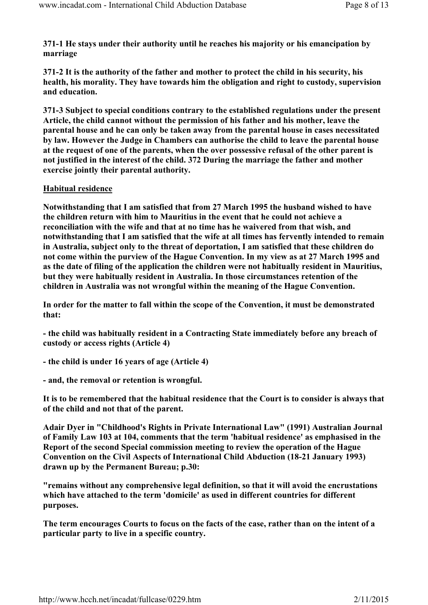371-1 He stays under their authority until he reaches his majority or his emancipation by marriage

371-2 It is the authority of the father and mother to protect the child in his security, his health, his morality. They have towards him the obligation and right to custody, supervision and education.

371-3 Subject to special conditions contrary to the established regulations under the present Article, the child cannot without the permission of his father and his mother, leave the parental house and he can only be taken away from the parental house in cases necessitated by law. However the Judge in Chambers can authorise the child to leave the parental house at the request of one of the parents, when the over possessive refusal of the other parent is not justified in the interest of the child. 372 During the marriage the father and mother exercise jointly their parental authority.

## Habitual residence

Notwithstanding that I am satisfied that from 27 March 1995 the husband wished to have the children return with him to Mauritius in the event that he could not achieve a reconciliation with the wife and that at no time has he waivered from that wish, and notwithstanding that I am satisfied that the wife at all times has fervently intended to remain in Australia, subject only to the threat of deportation, I am satisfied that these children do not come within the purview of the Hague Convention. In my view as at 27 March 1995 and as the date of filing of the application the children were not habitually resident in Mauritius, but they were habitually resident in Australia. In those circumstances retention of the children in Australia was not wrongful within the meaning of the Hague Convention.

In order for the matter to fall within the scope of the Convention, it must be demonstrated that:

- the child was habitually resident in a Contracting State immediately before any breach of custody or access rights (Article 4)

- the child is under 16 years of age (Article 4)
- and, the removal or retention is wrongful.

It is to be remembered that the habitual residence that the Court is to consider is always that of the child and not that of the parent.

Adair Dyer in "Childhood's Rights in Private International Law" (1991) Australian Journal of Family Law 103 at 104, comments that the term 'habitual residence' as emphasised in the Report of the second Special commission meeting to review the operation of the Hague Convention on the Civil Aspects of International Child Abduction (18-21 January 1993) drawn up by the Permanent Bureau; p.30:

"remains without any comprehensive legal definition, so that it will avoid the encrustations which have attached to the term 'domicile' as used in different countries for different purposes.

The term encourages Courts to focus on the facts of the case, rather than on the intent of a particular party to live in a specific country.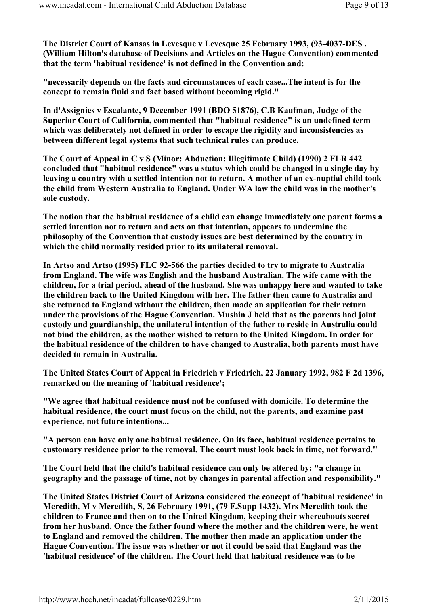The District Court of Kansas in Levesque v Levesque 25 February 1993, (93-4037-DES . (William Hilton's database of Decisions and Articles on the Hague Convention) commented that the term 'habitual residence' is not defined in the Convention and:

"necessarily depends on the facts and circumstances of each case...The intent is for the concept to remain fluid and fact based without becoming rigid."

In d'Assignies v Escalante, 9 December 1991 (BDO 51876), C.B Kaufman, Judge of the Superior Court of California, commented that "habitual residence" is an undefined term which was deliberately not defined in order to escape the rigidity and inconsistencies as between different legal systems that such technical rules can produce.

The Court of Appeal in C v S (Minor: Abduction: Illegitimate Child) (1990) 2 FLR 442 concluded that "habitual residence" was a status which could be changed in a single day by leaving a country with a settled intention not to return. A mother of an ex-nuptial child took the child from Western Australia to England. Under WA law the child was in the mother's sole custody.

The notion that the habitual residence of a child can change immediately one parent forms a settled intention not to return and acts on that intention, appears to undermine the philosophy of the Convention that custody issues are best determined by the country in which the child normally resided prior to its unilateral removal.

In Artso and Artso (1995) FLC 92-566 the parties decided to try to migrate to Australia from England. The wife was English and the husband Australian. The wife came with the children, for a trial period, ahead of the husband. She was unhappy here and wanted to take the children back to the United Kingdom with her. The father then came to Australia and she returned to England without the children, then made an application for their return under the provisions of the Hague Convention. Mushin J held that as the parents had joint custody and guardianship, the unilateral intention of the father to reside in Australia could not bind the children, as the mother wished to return to the United Kingdom. In order for the habitual residence of the children to have changed to Australia, both parents must have decided to remain in Australia.

The United States Court of Appeal in Friedrich v Friedrich, 22 January 1992, 982 F 2d 1396, remarked on the meaning of 'habitual residence';

"We agree that habitual residence must not be confused with domicile. To determine the habitual residence, the court must focus on the child, not the parents, and examine past experience, not future intentions...

"A person can have only one habitual residence. On its face, habitual residence pertains to customary residence prior to the removal. The court must look back in time, not forward."

The Court held that the child's habitual residence can only be altered by: "a change in geography and the passage of time, not by changes in parental affection and responsibility."

The United States District Court of Arizona considered the concept of 'habitual residence' in Meredith, M v Meredith, S, 26 February 1991, (79 F.Supp 1432). Mrs Meredith took the children to France and then on to the United Kingdom, keeping their whereabouts secret from her husband. Once the father found where the mother and the children were, he went to England and removed the children. The mother then made an application under the Hague Convention. The issue was whether or not it could be said that England was the 'habitual residence' of the children. The Court held that habitual residence was to be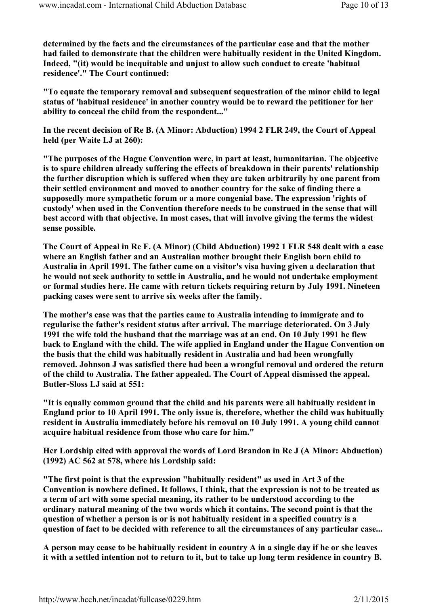determined by the facts and the circumstances of the particular case and that the mother had failed to demonstrate that the children were habitually resident in the United Kingdom. Indeed, "(it) would be inequitable and unjust to allow such conduct to create 'habitual residence'." The Court continued:

"To equate the temporary removal and subsequent sequestration of the minor child to legal status of 'habitual residence' in another country would be to reward the petitioner for her ability to conceal the child from the respondent..."

In the recent decision of Re B. (A Minor: Abduction) 1994 2 FLR 249, the Court of Appeal held (per Waite LJ at 260):

"The purposes of the Hague Convention were, in part at least, humanitarian. The objective is to spare children already suffering the effects of breakdown in their parents' relationship the further disruption which is suffered when they are taken arbitrarily by one parent from their settled environment and moved to another country for the sake of finding there a supposedly more sympathetic forum or a more congenial base. The expression 'rights of custody' when used in the Convention therefore needs to be construed in the sense that will best accord with that objective. In most cases, that will involve giving the terms the widest sense possible.

The Court of Appeal in Re F. (A Minor) (Child Abduction) 1992 1 FLR 548 dealt with a case where an English father and an Australian mother brought their English born child to Australia in April 1991. The father came on a visitor's visa having given a declaration that he would not seek authority to settle in Australia, and he would not undertake employment or formal studies here. He came with return tickets requiring return by July 1991. Nineteen packing cases were sent to arrive six weeks after the family.

The mother's case was that the parties came to Australia intending to immigrate and to regularise the father's resident status after arrival. The marriage deteriorated. On 3 July 1991 the wife told the husband that the marriage was at an end. On 10 July 1991 he flew back to England with the child. The wife applied in England under the Hague Convention on the basis that the child was habitually resident in Australia and had been wrongfully removed. Johnson J was satisfied there had been a wrongful removal and ordered the return of the child to Australia. The father appealed. The Court of Appeal dismissed the appeal. Butler-Sloss LJ said at 551:

"It is equally common ground that the child and his parents were all habitually resident in England prior to 10 April 1991. The only issue is, therefore, whether the child was habitually resident in Australia immediately before his removal on 10 July 1991. A young child cannot acquire habitual residence from those who care for him."

Her Lordship cited with approval the words of Lord Brandon in Re J (A Minor: Abduction) (1992) AC 562 at 578, where his Lordship said:

"The first point is that the expression "habitually resident" as used in Art 3 of the Convention is nowhere defined. It follows, I think, that the expression is not to be treated as a term of art with some special meaning, its rather to be understood according to the ordinary natural meaning of the two words which it contains. The second point is that the question of whether a person is or is not habitually resident in a specified country is a question of fact to be decided with reference to all the circumstances of any particular case...

A person may cease to be habitually resident in country A in a single day if he or she leaves it with a settled intention not to return to it, but to take up long term residence in country B.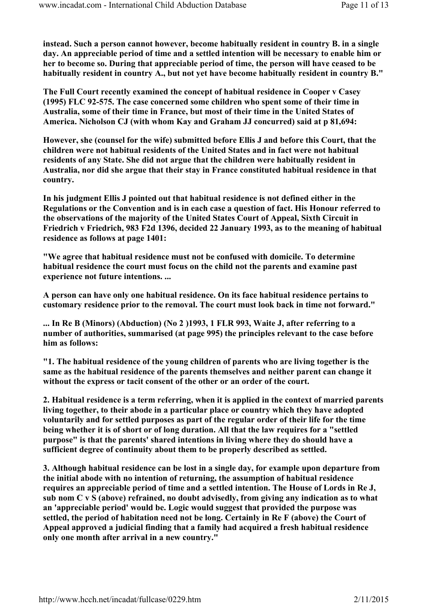instead. Such a person cannot however, become habitually resident in country B. in a single day. An appreciable period of time and a settled intention will be necessary to enable him or her to become so. During that appreciable period of time, the person will have ceased to be habitually resident in country A., but not yet have become habitually resident in country B."

The Full Court recently examined the concept of habitual residence in Cooper v Casey (1995) FLC 92-575. The case concerned some children who spent some of their time in Australia, some of their time in France, but most of their time in the United States of America. Nicholson CJ (with whom Kay and Graham JJ concurred) said at p 81,694:

However, she (counsel for the wife) submitted before Ellis J and before this Court, that the children were not habitual residents of the United States and in fact were not habitual residents of any State. She did not argue that the children were habitually resident in Australia, nor did she argue that their stay in France constituted habitual residence in that country.

In his judgment Ellis J pointed out that habitual residence is not defined either in the Regulations or the Convention and is in each case a question of fact. His Honour referred to the observations of the majority of the United States Court of Appeal, Sixth Circuit in Friedrich v Friedrich, 983 F2d 1396, decided 22 January 1993, as to the meaning of habitual residence as follows at page 1401:

"We agree that habitual residence must not be confused with domicile. To determine habitual residence the court must focus on the child not the parents and examine past experience not future intentions. ...

A person can have only one habitual residence. On its face habitual residence pertains to customary residence prior to the removal. The court must look back in time not forward."

... In Re B (Minors) (Abduction) (No 2 )1993, 1 FLR 993, Waite J, after referring to a number of authorities, summarised (at page 995) the principles relevant to the case before him as follows:

"1. The habitual residence of the young children of parents who are living together is the same as the habitual residence of the parents themselves and neither parent can change it without the express or tacit consent of the other or an order of the court.

2. Habitual residence is a term referring, when it is applied in the context of married parents living together, to their abode in a particular place or country which they have adopted voluntarily and for settled purposes as part of the regular order of their life for the time being whether it is of short or of long duration. All that the law requires for a "settled purpose" is that the parents' shared intentions in living where they do should have a sufficient degree of continuity about them to be properly described as settled.

3. Although habitual residence can be lost in a single day, for example upon departure from the initial abode with no intention of returning, the assumption of habitual residence requires an appreciable period of time and a settled intention. The House of Lords in Re J, sub nom C v S (above) refrained, no doubt advisedly, from giving any indication as to what an 'appreciable period' would be. Logic would suggest that provided the purpose was settled, the period of habitation need not be long. Certainly in Re F (above) the Court of Appeal approved a judicial finding that a family had acquired a fresh habitual residence only one month after arrival in a new country."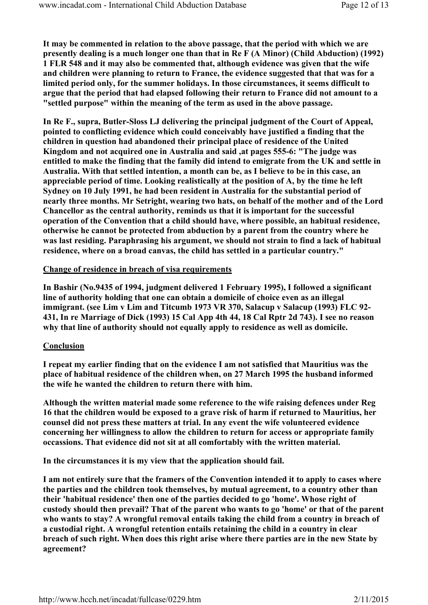It may be commented in relation to the above passage, that the period with which we are presently dealing is a much longer one than that in Re F (A Minor) (Child Abduction) (1992) 1 FLR 548 and it may also be commented that, although evidence was given that the wife and children were planning to return to France, the evidence suggested that that was for a limited period only, for the summer holidays. In those circumstances, it seems difficult to argue that the period that had elapsed following their return to France did not amount to a "settled purpose" within the meaning of the term as used in the above passage.

In Re F., supra, Butler-Sloss LJ delivering the principal judgment of the Court of Appeal, pointed to conflicting evidence which could conceivably have justified a finding that the children in question had abandoned their principal place of residence of the United Kingdom and not acquired one in Australia and said ,at pages 555-6: "The judge was entitled to make the finding that the family did intend to emigrate from the UK and settle in Australia. With that settled intention, a month can be, as I believe to be in this case, an appreciable period of time. Looking realistically at the position of A, by the time he left Sydney on 10 July 1991, he had been resident in Australia for the substantial period of nearly three months. Mr Setright, wearing two hats, on behalf of the mother and of the Lord Chancellor as the central authority, reminds us that it is important for the successful operation of the Convention that a child should have, where possible, an habitual residence, otherwise he cannot be protected from abduction by a parent from the country where he was last residing. Paraphrasing his argument, we should not strain to find a lack of habitual residence, where on a broad canvas, the child has settled in a particular country."

#### Change of residence in breach of visa requirements

In Bashir (No.9435 of 1994, judgment delivered 1 February 1995), I followed a significant line of authority holding that one can obtain a domicile of choice even as an illegal immigrant. (see Lim v Lim and Titcumb 1973 VR 370, Salacup v Salacup (1993) FLC 92-431, In re Marriage of Dick (1993) 15 Cal App 4th 44, 18 Cal Rptr 2d 743). I see no reason why that line of authority should not equally apply to residence as well as domicile.

#### Conclusion

I repeat my earlier finding that on the evidence I am not satisfied that Mauritius was the place of habitual residence of the children when, on 27 March 1995 the husband informed the wife he wanted the children to return there with him.

Although the written material made some reference to the wife raising defences under Reg 16 that the children would be exposed to a grave risk of harm if returned to Mauritius, her counsel did not press these matters at trial. In any event the wife volunteered evidence concerning her willingness to allow the children to return for access or appropriate family occassions. That evidence did not sit at all comfortably with the written material.

In the circumstances it is my view that the application should fail.

I am not entirely sure that the framers of the Convention intended it to apply to cases where the parties and the children took themselves, by mutual agreement, to a country other than their 'habitual residence' then one of the parties decided to go 'home'. Whose right of custody should then prevail? That of the parent who wants to go 'home' or that of the parent who wants to stay? A wrongful removal entails taking the child from a country in breach of a custodial right. A wrongful retention entails retaining the child in a country in clear breach of such right. When does this right arise where there parties are in the new State by agreement?